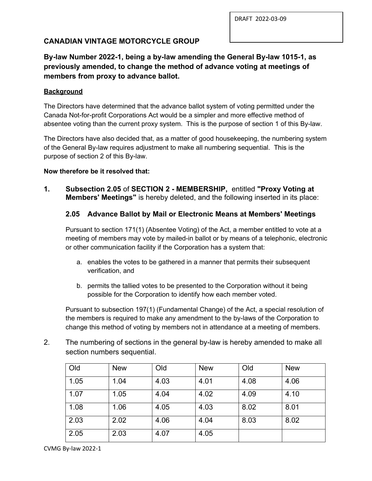DRAFT 2022-03-09

## **CANADIAN VINTAGE MOTORCYCLE GROUP**

# **By-law Number 2022-1, being a by-law amending the General By-law 1015-1, as previously amended, to change the method of advance voting at meetings of members from proxy to advance ballot.**

#### **Background**

The Directors have determined that the advance ballot system of voting permitted under the Canada Not-for-profit Corporations Act would be a simpler and more effective method of absentee voting than the current proxy system. This is the purpose of section 1 of this By-law.

The Directors have also decided that, as a matter of good housekeeping, the numbering system of the General By-law requires adjustment to make all numbering sequential. This is the purpose of section 2 of this By-law.

#### **Now therefore be it resolved that:**

**1. Subsection 2.05** of **SECTION 2 - MEMBERSHIP,** entitled **"Proxy Voting at Members' Meetings"** is hereby deleted, and the following inserted in its place:

### **2.05 Advance Ballot by Mail or Electronic Means at Members' Meetings**

Pursuant to section 171(1) (Absentee Voting) of the Act, a member entitled to vote at a meeting of members may vote by mailed-in ballot or by means of a telephonic, electronic or other communication facility if the Corporation has a system that:

- a. enables the votes to be gathered in a manner that permits their subsequent verification, and
- b. permits the tallied votes to be presented to the Corporation without it being possible for the Corporation to identify how each member voted.

Pursuant to subsection 197(1) (Fundamental Change) of the Act, a special resolution of the members is required to make any amendment to the by-laws of the Corporation to change this method of voting by members not in attendance at a meeting of members.

2. The numbering of sections in the general by-law is hereby amended to make all section numbers sequential.

| Old  | <b>New</b> | Old  | <b>New</b> | Old  | <b>New</b> |
|------|------------|------|------------|------|------------|
| 1.05 | 1.04       | 4.03 | 4.01       | 4.08 | 4.06       |
| 1.07 | 1.05       | 4.04 | 4.02       | 4.09 | 4.10       |
| 1.08 | 1.06       | 4.05 | 4.03       | 8.02 | 8.01       |
| 2.03 | 2.02       | 4.06 | 4.04       | 8.03 | 8.02       |
| 2.05 | 2.03       | 4.07 | 4.05       |      |            |